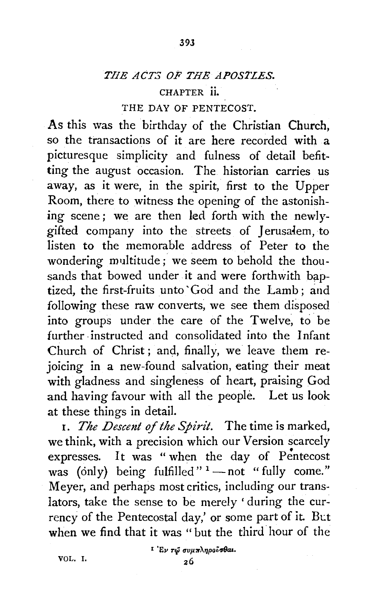393

## CHAPTER ii.

## THE DAY OF PENTECOST.

As this was the birthday of the Christian Church, so the transactions of it are here recorded with a picturesque simplicity and fulness of detail befitting the august occasion. The historian carries us away, as it were, in the spirit, first to the Upper Room, there to witness the opening of the astonishing scene; we are then led forth with the newlygifted company into the streets of Jerusalem, to listen to the memorable address of Peter to the wondering multitude; we seem to behold the thousands that bowed under it and were forthwith baptized, the first-fruits unto' God and the Lamb ; and following these raw converts, we see them disposed into groups under the care of the Twelve, to be further instructed and consolidated into the Infant Church of Christ ; and, finally, we leave them rejoicing in a new-found salvation, eating their meat with gladness and singleness of heart, praising God and having favour with all the people. Let us look at these things in detail.

r. *The Descent of the Spirit.* The time is marked, we think, with a precision which our Version scarcely • expresses. It was "when the day of Pentecost was (only) being fulfilled" $1 -$ not " fully come." Meyer, and perhaps most critics, including our translators, take the sense to be merely 'during the currency of the Pentecostal day,' or some part of it. But when we find that it was "but the third hour of the

VOL. I.

<sup>1</sup>'Ev τώ συμπληρούσθαι.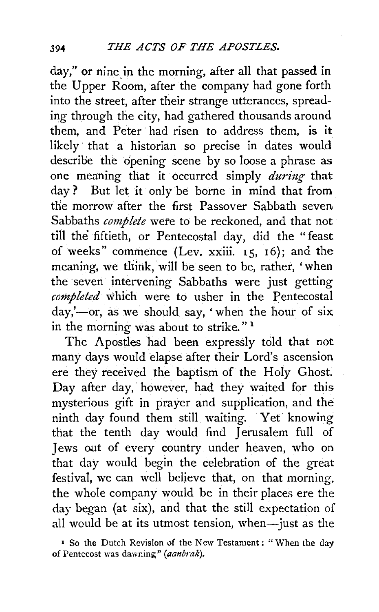day," or nine in the morning, after all that passed in the Upper Room, after the company had gone forth into the street, after their strange utterances, spreading through the city, had gathered thousands around them, and Peter had risen to address them, is it likely that a historian so precise in dates would describe the opening scene by so loose a phrase as one meaning that it occurred simply *during-* that day ? But let it only be borne in mind that from the morrow after the first Passover Sabbath seven Sabbaths *complete* were to be reckoned, and that not till the fiftieth, or Pentecostal day, did the "feast of weeks" commence (Lev. xxiii.  $15$ ,  $16$ ); and the meaning, we think, will be seen to be, rather, 'when the seven intervening Sabbaths were just getting *completed* which were to usher in the Pentecostal  $day, '$ -or, as we should say, 'when the hour of six in the morning was about to strike." <sup>1</sup>

The Apostles had been expressly told that not many days would elapse after their Lord's ascension ere they received the baptism of the Holy Ghost. Day after day, however, had they waited for this mysterious gift in prayer and supplication, and the ninth day found them still waiting. Yet knowing that the tenth day would find Jerusalem full of Jews out of every country under heaven, who on that day would begin the celebration of the great festival, we can well believe that, on that morning, the whole company would be in their places ere the day began (at six), and that the still expectation of all would be at its utmost tension, when-just as the

<sup>•</sup> So the Dutch Revision of the New Testament ; " When the day of Pentecost was dawning" *(aanbrak)*.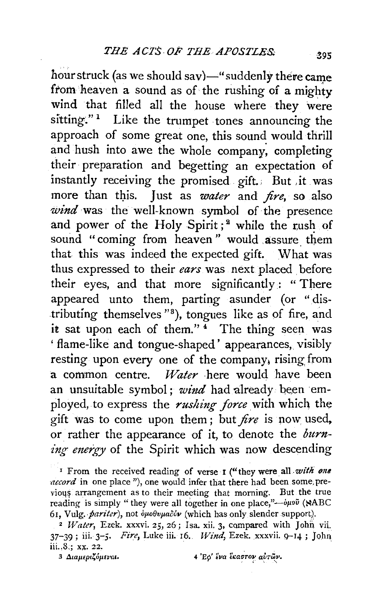hour struck (as we should say)—" suddenly there came from heaven a sound as of the rushing of a mighty wind that filled all the house where they were sitting." $1$  Like the trumpet tones announcing the approach of some great one, this sound would thrill and hush into awe the whole company, completing their preparation and begetting an expectation of instantly receiving the promised gift.; But ,it was more than this. Just as *water* and *fire*, so also *wind* was the well-known symbol of the presence and power of the Holy Spirit;<sup>2</sup> while the rush of sound "coming from heaven" would assure them that this was indeed the expected gift. What was thus expressed to their *ears* was next placed before their eyes, and that more significantly: "There appeared unto them, parting asunder (or " distributing themselves "<sup>8</sup>), tongues like as of fire, and it sat upon each of them." $4$  The thing seen was ' flame-like and tongue-shaped' appearances, visibly resting upon every one of the company, rising from a common centre. *Water* here would have been an unsuitable symbol; *wind* had already been employed, to express the *rushing force* with which the gift was to come upon them ; but *fire* is now: used, or rather the appearance of it, to denote the *burning energy* of the Spirit which was now descending

<sup>1</sup> From the received reading of verse I ("they were all *with one ·accord* in one place "), one would infer that there had been some, previous arrangement as to their meeting that morning. But the true reading is simply "they were all together in one place,"- $\phi\mu$ 00 (NABC 61, Vulg. *·pariter),* not *vpo8upaoov* (which has oniy slender support). 2 *Water,* Ezek. xxxvi. *25,* 26; Isa. xii. 3, compared with John vii\_

3 Διαμεριζόμεναι. **4** 'Eφ' ένα έκαστον αυτών.

<sup>37-39;</sup> iii. *3-5. Fire,* Luke iii. 16. *Wi11d,* Ezek. xxxvii. Q--14; John iii., 8,; xx. 22.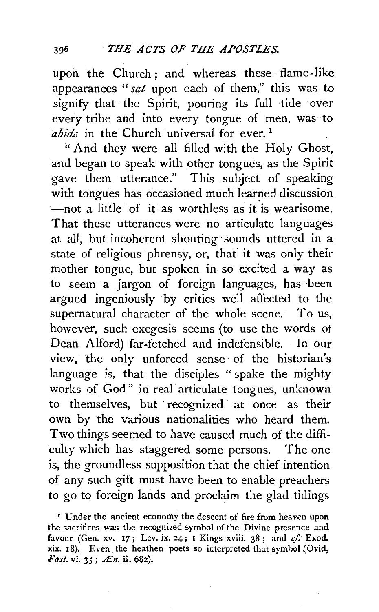upon the Church; and whereas these flame-like appearances *"sat* upon each of them," this was to signify that the Spirit, pouring its full tide over every tribe and into every tongue of men, was to *abide* in the Church universal for ever.<sup>1</sup>

''And they were all filled with the Holy Ghost, and began to speak with other tongues, as the Spirit gave them utterance." This subject of speaking with tongues has occasioned much learned discussion  $-$ not a little of it as worthless as it is wearisome. That these utterances were no articulate languages at all, but incoherent shouting sounds uttered in a state of religious phrensy, or, that it was only their mother tongue, but spoken in so excited a way as to seem a jargon of foreign languages, has been argued ingeniously by critics well affected to the supernatural character of the whole scene. To us, however, such exegesis seems (to use the words ot Dean Alford) far-fetched and indefensible. In our view, the only unforced sense of the historian's language is, that the disciples " spake the mighty works of God" in real articulate tongues, unknown to themselves, but recognized at once as their own by the various nationalities who heard them. Two things seemed to have caused much of the difficulty which has staggered some persons. The one is, the groundless supposition that the chief intention of any such gift must have been to enable preachers to go to foreign lands and proclaim the glad tidings

<sup>1</sup> Under the ancient economy the descent of fire from heaven upon the sacrifices was the recognized symbol of the Divine presence and favour (Gen. xv. 17; Lev. ix. 24; 1 Kings xviii. 38; and  $cf.$  Exod. xix. 18). Even the heathen poets so interpreted that symhol (Ovid, Fast. vi. 35; Æn. ii. 682).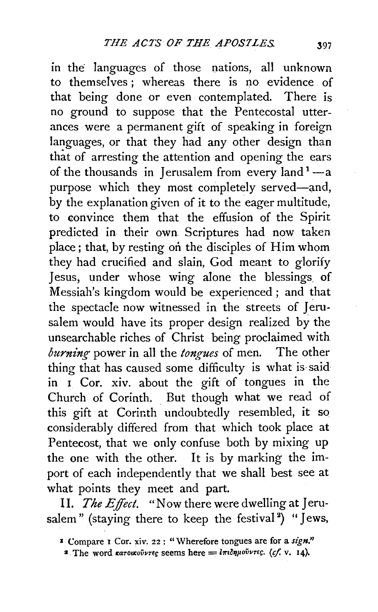m the languages of those nations, all unknown to themselves ; whereas there is no evidence of that being done or even contemplated. There is no ground to suppose that the Pentecostal utterances were a permanent gift of speaking in foreign languages, or that they had any other design than that of arresting the attention and opening the ears of the thousands in Jerusalem from every land  $1-$ a purpose which they most completely served-and, by the explanation given of it to the eager multitude, to convince them that the effusion of the Spirit predicted in their own Scriptures had now taken place; that, by resting on the disciples of Him whom they had crucified and slain, God meant to glorify Jesus, under whose wing alone the blessings of Messiah's kingdom would be experienced; and that the spectacle now witnessed in the streets of Jerusalem would have its proper design realized by the unsearchable riches of Christ being proclaimed with *burning* power in all the *tongues* of men. The other thing that has caused some difficulty is what is saidin  $\overline{I}$  Cor. xiv. about the gift of tongues in the Church of Corinth. But though what we read of this gift at Corinth undoubtedly resembled, it so considerably differed from that which took place at Pentecost, that we only confuse both by mixing up the one with the other. It is by marking the import of each independently that we shall best see at what points they meet and part.

II. *The Effect.* "Now there were dwelling at Jerusalem" (staying there to keep the festival<sup>2</sup>) "Jews,

<sup>&</sup>lt;sup>I</sup> Compare I Cor. xiv. 22 : "Wherefore tongues are for a sign."

<sup>&</sup>lt;sup>2</sup> The word  $\kappa a$ *rouxouvrec* seems here  $=$   $i\pi i \delta \eta \mu o \tilde{v}$ *vrec. (cf. v. 14).*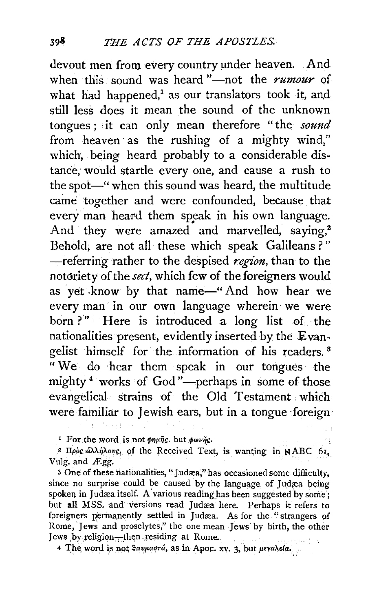devout meri from every country under heaven. And when this sound was heard "-not the *rumour* of what had happened, $^1$  as our translators took it, and still less does it mean the sound of the unknown tongues ; it can only mean therefore "the *sound* from heaven as the rushing of a mighty wind," which, being heard probably to a considerable distance, would startle every one, and cause a rush to the spot-" when this sound was heard, the multitude caine together and were confounded, because that every man heard them speak in his own language. And they were amazed and marvelled, saying,<sup>2</sup> Behold; are not all these which speak Galileans ? " -referring rather to the despised *region,* than to the notoriety of the *sect,* which few of the foreigners would as yet know by that name-"And how hear we every man in our own language wherein we were born ?" Here is introduced a long list of the nationalities present, evidently inserted by the Evangelist himself for the information of his readers. 8 " We do hear them speak in our tongues · the mighty  $4$  works of God"—perhaps in some of those evangelical strains of the Old Testament which were familiar to Jewish ears, but in a tongue foreign

<sup>1</sup> For the word is not  $\phi\eta\mu\tilde{\eta}$ *c*, but  $\phi\omega\nu\tilde{\eta}$ *c*.

<sup>2</sup> Hooc  $d\lambda/\eta\lambda$ ovc, of the Received Text, is wanting in NABC 61, Vulg. and  $Egg$ .

3 One of these nationalities, "Judæa," has occasioned some difficulty, since no surprise could be caused by the language of Judæa being spoken in Judæa itself. A various reading has been suggested by some; but all MSS. and versions read Judæa here. Perhaps it refers to foreigners permanently settled in Judæa. As for the "strangers of Rome, Jews and proselytes," the one mean Jews by birth, the other Jews by religion—then residing at Rome.

4 The word is not *Savuasrá*, as in Apoc. xv. 3, but *peralela*.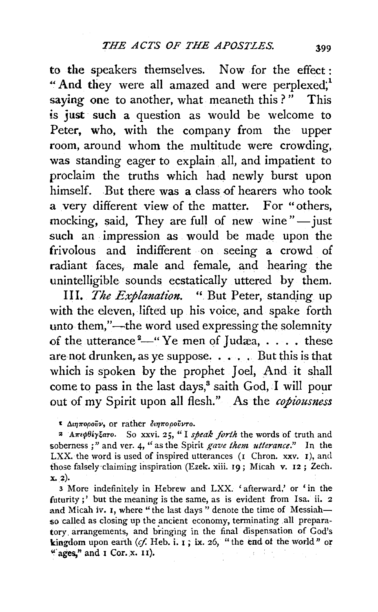to the speakers themselves. Now for the effect: "And they were all amazed and were perplexed;<sup>1</sup> saying one to another, what meaneth this?" This is just such a question as would be welcome to Peter, who, with the company from the upper room, around whom the multitude were crowding, was standing eager to explain all, and impatient to proclaim the truths which had newly burst upon himself. But there was a class of hearers who took a very different view of the matter. For "others, mocking, said, They are full of new wine" $-$ just such an impression as would be made upon the frivolous and indifferent on seeing a crowd of radiant faces, male and female, and hearing the unintelligible sounds ecstatically uttered by them.

III. *The Explanation.* " But Peter, standing up with the eleven, lifted up his voice, and spake forth unto them,"—the word used expressing the solemnity of the utterance  $2$ <sup>4</sup>-" Ye men of Judæa, . . . . these are not drunken, as ye suppose.  $\ldots$ . But this is that which is spoken by the prophet Joel, And it shall come to pass in the last days, $^3$  saith God, I will pour out of my Spirit upon all flesh." As the *copiousness* 

• *Atq1ropoiiv,* or rather *Ot1J7rOpovvro.* 

:a *A7rE'/>96y;aro.* So xxvi. 25, "I *speak fortlt* the words of truth and soberness ; " and ver. 4, "as the Spirit *gave them utterance."* In the LXX. the word is used of inspired utterances (I Chron. xxv. I), and those falsely-claiming inspiration (Ezek. xiii. 19; Micah v. I2 ; Zech. x. 2).

3 More indefinitely in Hebrew and LXX. 'afterward,' or 'in the futurity;' but the meaning is the same, as is evident from Isa. ii.  $2$ and Micah iv. I, where "the last days" denote the time of Messiahso called as closing up the ancient economy, terminating all preparatory arrangements, and bringing in the final dispensation of God's kingdom upon earth (cf. Heb. i. 1; ix. 26, "the end of the world" or " ages," and  $\mathbf{I}$  Cor. x.  $\mathbf{II}$ ).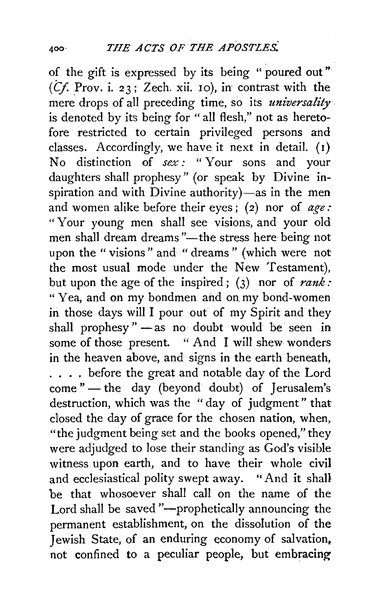of the gift is expressed by its being " poured out "  $(Cf. Prov.$  i. 23; Zech. xii. 10), in contrast with the mere drops of all preceding time, so its *universality* . is denoted by its being for "all flesh," not as heretofore restricted to certain privileged persons and classes. Accordingly, we have it next in detail.  $(1)$ No distinction of *sex :* " Your sons and your daughters shall prophesy" (or speak by Divine inspiration and with  $\overline{Div}$  ine authority)-as in the men and women alike before their eyes; (2) nor of  $age:$ " Your young men shall see visions, and your old men shall dream dreams "-the stress here being not upon the "visions" and "dreams" (which were not the most usual mode under the New Testament), but upon the age of the inspired;  $(3)$  nor of *rank*: "Yea, and on my bondmen and on. my bond-women in those days will I pour out of my Spirit and they shall prophesy " -as no doubt would be seen in some of those present. "And I will shew wonders in the heaven above, and signs in the earth beneath, . . . . before the great and notable day of the Lord come " - the day (beyond doubt) of Jerusalem's destruction, which was the "day of judgment" that closed the day of grace for the chosen nation, when, "the judgment being set and the books opened," they were adjudged to lose their standing as God's visible witness upon earth, and to have their whole civil and ecclesiastical polity swept away. "And it shall be that whosoever shall call on the name of the Lord shall be saved "--prophetically announcing the permanent establishment, on the dissolution of the Jewish State, of an enduring economy of salvation. not confined to a peculiar people, but embracing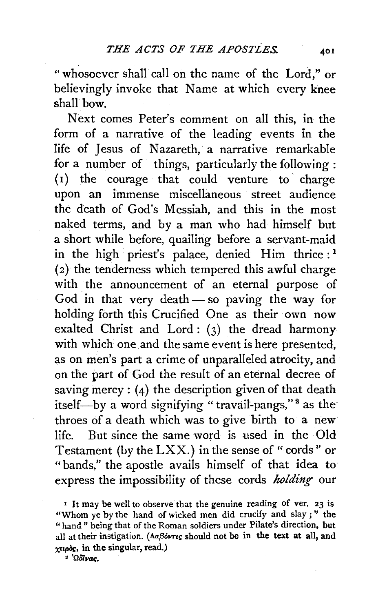"whosoever shall call on the name of the Lord," or believingly invoke that Name at which every knee shall bow.

Next comes Peter's comment on all this, in the form of a narrative of the leading events in the life of Jesus of Nazareth, a narrative remarkable for a number of things, particularly the following : (1) the courage that could venture to' charge upon an immense miscellaneous street audience the death of God's Messiah, and this in the most naked terms, and by a man who had himself but a short while before, quailing before a servant-maid in the high priest's palace, denied Him thrice:<sup>1</sup> (2) the tenderness which tempered this awful charge with the announcement of an eternal purpose of God in that very death- so paving the way for holding forth this Crucified One as their own now exalted Christ and Lord : (3) the dread harmony with which one and the same event is here presented, as on men's part a crime of unparalleled atrocity, and on the part of God the result of an eternal decree of saving mercy :  $(4)$  the description given of that death itself-by a word signifying " travail-pangs,"<sup>2</sup> as the throes of a death which was to give birth to a new life. But since the same word is used in the Old Testament (by the  $\text{LXX}$ .) in the sense of "cords" or "bands," the apostle avails himself of that idea to express the impossibility of these cords *holding* our

<sup>2</sup> 'Ω<sub>οϊνας</sub>

<sup>•</sup> It may be well to observe that the genuine reading of ver, 23 is "Whom ye by the hand of wicked men did crucify and slay;" the "hand" being that of the Roman soldiers under Pilate's direction, but all at their instigation. ( $\Lambda a\beta \acute{o}v\tau\epsilon s$  should not be in the text at all, and  $x \in \alpha$ , in the singular, read.)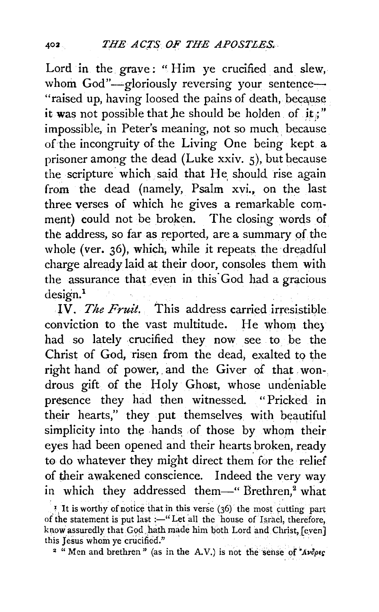Lord in the grave: "Him ye crucified and slew, whom God"-gloriously reversing your sentence-"raised up, having loosed the pains of death, because it was not possible that he should be holden of it;" impossible, in Peter's meaning, not so much because of the incongruity of the Living One being kept a prisoner among the dead (Luke xxiv. 5), but because the scripture which said that He should rise again from the dead (namely, Psalm xvi., on the last three verses of which he gives a remarkable comment) could not be broken. The closing words of the address, so far as reported, are a summary of the whole (ver.  $36$ ), which, while it repeats the dreadful charge already laid at their door, consoles them with the assurance that even in this· God had a gracious design.<sup>1</sup>

IV. *The Fruit.* This address carried irresistible conviction to the vast multitude. He whom they had so lately crucified they now see to be the Christ of God, risen from the dead, exalted to the right hand of power, and the Giver of that wondrous gift of the Holy Ghost, whose undeniable presence they had then witnessed. "Pricked in their hearts," they put themselves with beautiful simplicity into the hands of those by whom their eyes had been opened and their hearts broken, ready to do whatever they might direct them for the relief of their awakened conscience. Indeed the very way in which they addressed them-" Brethren,<sup>2</sup> what

<sup>1</sup>. It is worthy of notice that in this verse (36) the most cutting part of the statement is put last :-''Let all the house of Israel, therefore, know assuredly that God hath made him both Lord and Christ, [even] this Jesus whom ye crucified."

<sup>2</sup> "Men and brethren" (as in the A.V.) is not the sense of  $\Delta\nu\delta\rho\epsilon\varsigma$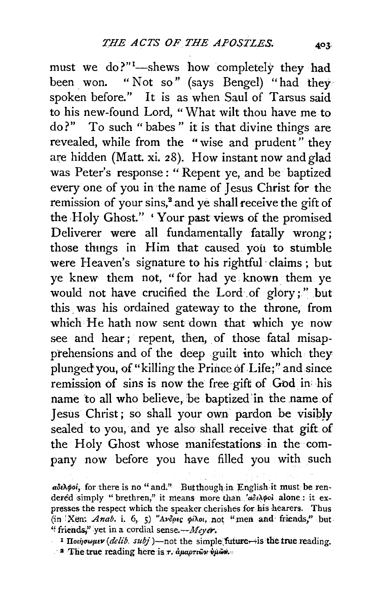must we do?"<sup>1</sup>-shews how completely they had been won. "Not so" (says Bengel) "had they spoken before." It is as when Saul of Tarsus said to his new-found Lord, "What wilt thou have me to do?" To such "babes" it is that divine things are revealed, while from the "wise and prudent" they are hidden (Matt. xi. 28). How instant now and glad was Peter's response: "Repent ye, and be baptized every one of you in the name of Jesus Christ for the remission of your sins,<sup>2</sup> and ye shall receive the gift of the Holy Ghost." 'Your past views of the promised Deliverer were all fundamentally fatally wrong; those thmgs in Him that caused you to stumble were Heaven's signature to his rightful· claims ; but ye knew them not, " for had ye. known. them ye would not have crucified the Lord of glory;" but this. was his ordained gateway to the throne, from which He hath now sent down that which ye now see and hear; repent, then, of those fatal misapprehensions and of the deep guilt into which they plunged you, of "killing the Prince of Life;" and since remission of sins is now the free gift of God in his name to all who believe, be baptized in the name of Jesus Christ; so shall your own pardon be visibly sealed to you, and ye also shall receive that gift of the Holy Ghost whose manifestations in the company now before you have filled you with such

adeApoi, for there is no " and." Butthough in English it must be rendered simply "brethren," it means more than.  $a\delta\omega\varphi$ ol alone: it expresses the respect which the speaker. cherishes for his hearers. Thus (in Xen; *Anab.* i. 6, 5) "Avopes pilot, not "men and friends," but " friends," yet in a cordial sense. $-Meyer$ .

<sup>&</sup>lt;sup>1</sup> IIothowner (delib. subj)-not the simple future... is the true reading.  $\cdot$  2 The true reading here is  $\tau$ .  $\alpha\mu\alpha\rho\tau\omega\alpha\psi\mu\omega\phi$ .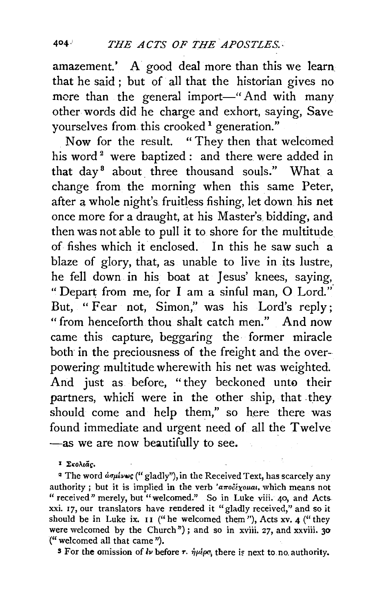amazement.' A good deal more than this we learn. that he said ; but of all that the historian gives no mere than the general import-" And with many other words did he charge and exhort, saying, Save yourselves from this crooked<sup>1</sup> generation."

Now for the result. " They then that welcomed his word<sup>2</sup> were baptized : and there were added in that day<sup>8</sup> about three thousand souls." What a change from the morning when this same Peter, after a whole night's fruitless fishing, let down his net once more for a draught, at his Master's. bidding, and then was not able to pull it to shore for the multitude of fishes which it enclosed. In this he saw such a blaze of glory, that, as unable to live in its lustre, he fell down in his boat at Jesus' knees, saying, "Depart from me, for I am a sinful man, 0 Lord.". But, "Fear not, Simon," was his Lord's reply; "from henceforth thou shalt catch men." And now came this capture, beggaring the former miracle both in the preciousness of the freight and the overpowering multitude wherewith his net was weighted. And just as before, "they beckoned unto their partners, which were in the other ship, that they should come and help them," so here there was found immediate and urgent need of all the Twelve -as we are now beautifully to see.

<sup>I</sup> Σκολιάς.

<sup>2</sup> The word  $d\sigma\mu\ell\nu\omega\varsigma$  ("gladly"), in the Received Text, has scarcely any authority; but it is implied in the verb 'anodixouat, which means not " received" merely, but "welcomed." So in Luke viii. 40, and Acts xxi. 17, our translators have rendered it "gladly received," and so it should be in Luke ix.  $II$  ("he welcomed them"), Acts xv. 4 ("they were welcomed by the Church"); and so in xviii. 27, and xxviii. 30 (" welcomed all that came ").

<sup>3</sup> For the omission of  $\ell \nu$  before  $\tau$ .  $\eta \mu \ell \rho \alpha$ , there is next to.no. authority.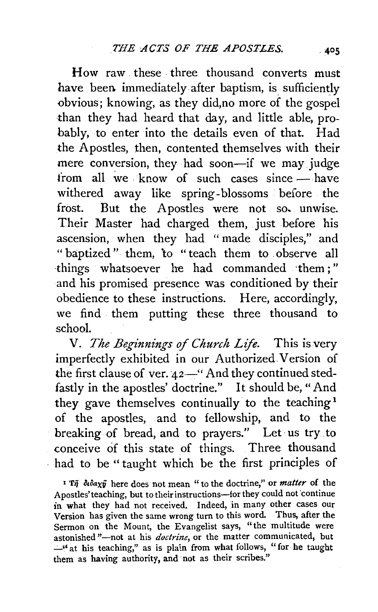How raw . these . three thousand converts must have been immediately after baptism, is sufficiently obvious; knowing, as they did, no more of the gospel than they had heard that day, and little able, probably, to enter into the details even of that. Had the Apostles, then, contented themselves with their mere conversion, they had soon-if we may judge from all we know of such cases since  $-$  have withered away like spring-blossoms before the frost. But the Apostles were not so. unwise. Their Master had charged them, just before his ascension, when they had "made disciples," and "baptized" them, to "teach them to . observe all things whatsoever he had commanded ·them; " and his promised presence was conditioned by their obedience to these instructions. Here, accordingly, we find them putting these three thousand to school.

V. *The Beginnings of Church Life.* This is very imperfectly exhibited in our Authorized.Version of the first clause of ver.  $42$ <sup>"</sup> And they continued stedfastly in the apostles' doctrine." It should be," And they gave themselves continually to the teaching <sup>1</sup> of the apostles, and to fellowship, and to the breaking of bread, and to prayers." Let us try . to conceive of this state of things. Three thousand had to be "taught which be the first principles of

<sup>1</sup> Ti didaxy here does not mean " to the doctrine," or *matter* of the Apostles' teaching, but to their instructions-for they could not continue in what they had not received. Indeed, in many other cases our Version has given the same wrong turn to this word. Thus, after the Sermon on the Mount, the Evangelist says, "the multitude were astonished "-not at his *doctrine*, or the matter communicated, but  $-$ " at his teaching," as is plain from what follows, "for he taught them as having authority, and not as their scribes."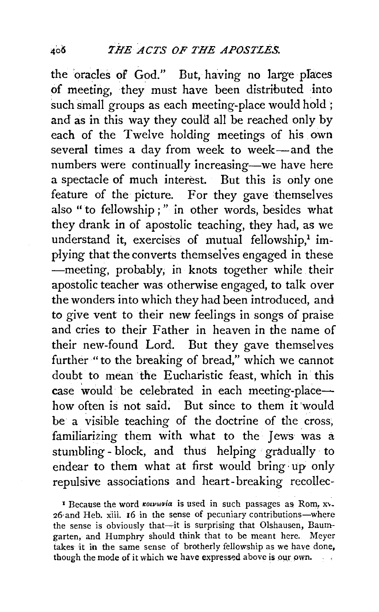the oracles of God." But, having no large places of meeting, they must have been distributed into such small groups as each meeting~ place would hold ; and as in this way they could all be reached only by each of the Twelve holding meetings of his own several times a day from week to week-and the numbers were continually increasing-we have here a spectacle of much interest. But this is only one feature of the picture. For they gave themselves also " to fellowship ; " in other words, besides what they drank in of apostolic teaching, they had, as we understand it, exercises of mutual fellowship, $1$  implying that the converts themselves engaged in these -meeting, probably, in knots together while their apostolic teacher was otherwise engaged, to talk over the wonders into which they had been introduced, and to give vent to their new feelings in songs of praise and cries to their Father in heaven in the name of their new~found Lord. But they gave themselves further "to the breaking of bread," which we cannot doubt to mean the Eucharistic feast, which in this case would be celebrated in each meeting-placehow often is not said. But since to them it 'would be a visible teaching of the doctrine of the cross, familiarizing them with what to the Jews was a stumbling-block, and thus helping gradually to endear to them what at first would bring· up only repulsive associations and heart-breaking recollec-

<sup>1</sup> Because the word *rouvaria* is used in such passages as Rom, xv. z6·and Heb. xiii. 16 in the sense of pecuniary contributions-where the sense is obviously that-it is surprising that Olshausen, Baumgarten, and Humphry should think that to be meant here. Meyer takes it in the same sense of brotherly fellowship as we have done, though the mode of it which we have expressed above is our own.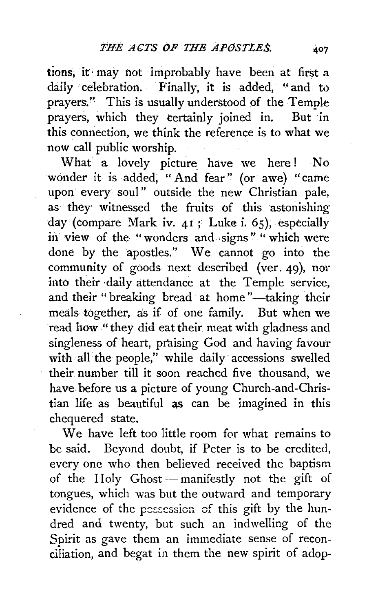tions, it may not improbably have been at first a daily celebration. Finally, it is added, "and to prayers." This is usually understood of the Temple prayers, which they certainly joined in. But in this connection, we think the reference is to what we now call public worship.

What a lovely picture have we here! No wonder it is added, " And fear" (or awe) "came upon every soul" outside the new Christian pale, as they witnessed the fruits of this astonishing day (compare Mark iv. 41 ; Luke i. 65), especially in view of the "wonders and signs" "which were done by the apostles." We cannot go into the community of goods next described (ver. 49), nor into their daily attendance at the Temple service, and their "breaking bread at home"-taking their meals together, as if of one family. But when we read how "they did eat their meat with gladness and singleness of heart, praising God and having favour with all the people," while daily accessions swelled their number till it soon reached five thousand, we have before us a picture of young Church-and-Christian life as beautiful as can be imagined in this chequered state.

We have left too little room for what remains to be said. Beyond doubt, if Peter is to be credited, every one who then believed received the baptism of the Holy Ghost-manifestly not the gift of tongues, which was but the outward and temporary evidence of the possession of this gift by the hundred and twenty, but such an indwelling of the Snirit as gave them an immediate sense of reconciliation, and begat in them the new spirit of adop-